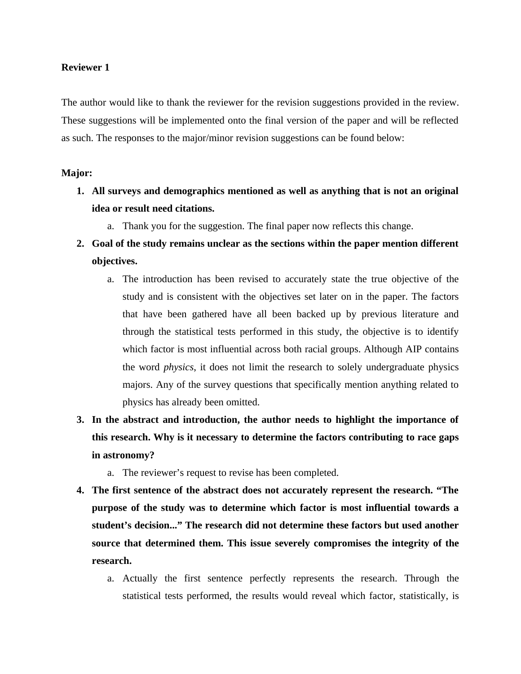The author would like to thank the reviewer for the revision suggestions provided in the review. These suggestions will be implemented onto the final version of the paper and will be reflected as such. The responses to the major/minor revision suggestions can be found below:

# **Major:**

- **1. All surveys and demographics mentioned as well as anything that is not an original idea or result need citations.**
	- a. Thank you for the suggestion. The final paper now reflects this change.
- **2. Goal of the study remains unclear as the sections within the paper mention different objectives.**
	- a. The introduction has been revised to accurately state the true objective of the study and is consistent with the objectives set later on in the paper. The factors that have been gathered have all been backed up by previous literature and through the statistical tests performed in this study, the objective is to identify which factor is most influential across both racial groups. Although AIP contains the word *physics*, it does not limit the research to solely undergraduate physics majors. Any of the survey questions that specifically mention anything related to physics has already been omitted.
- **3. In the abstract and introduction, the author needs to highlight the importance of this research. Why is it necessary to determine the factors contributing to race gaps in astronomy?**
	- a. The reviewer's request to revise has been completed.
- **4. The first sentence of the abstract does not accurately represent the research. "The purpose of the study was to determine which factor is most influential towards a student's decision..." The research did not determine these factors but used another source that determined them. This issue severely compromises the integrity of the research.**
	- a. Actually the first sentence perfectly represents the research. Through the statistical tests performed, the results would reveal which factor, statistically, is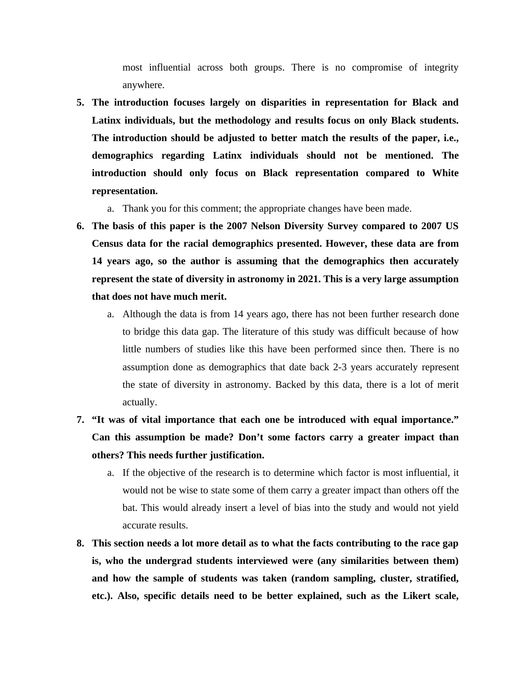most influential across both groups. There is no compromise of integrity anywhere.

- **5. The introduction focuses largely on disparities in representation for Black and Latinx individuals, but the methodology and results focus on only Black students. The introduction should be adjusted to better match the results of the paper, i.e., demographics regarding Latinx individuals should not be mentioned. The introduction should only focus on Black representation compared to White representation.**
	- a. Thank you for this comment; the appropriate changes have been made.
- **6. The basis of this paper is the 2007 Nelson Diversity Survey compared to 2007 US Census data for the racial demographics presented. However, these data are from 14 years ago, so the author is assuming that the demographics then accurately represent the state of diversity in astronomy in 2021. This is a very large assumption that does not have much merit.**
	- a. Although the data is from 14 years ago, there has not been further research done to bridge this data gap. The literature of this study was difficult because of how little numbers of studies like this have been performed since then. There is no assumption done as demographics that date back 2-3 years accurately represent the state of diversity in astronomy. Backed by this data, there is a lot of merit actually.
- **7. "It was of vital importance that each one be introduced with equal importance." Can this assumption be made? Don't some factors carry a greater impact than others? This needs further justification.**
	- a. If the objective of the research is to determine which factor is most influential, it would not be wise to state some of them carry a greater impact than others off the bat. This would already insert a level of bias into the study and would not yield accurate results.
- **8. This section needs a lot more detail as to what the facts contributing to the race gap is, who the undergrad students interviewed were (any similarities between them) and how the sample of students was taken (random sampling, cluster, stratified, etc.). Also, specific details need to be better explained, such as the Likert scale,**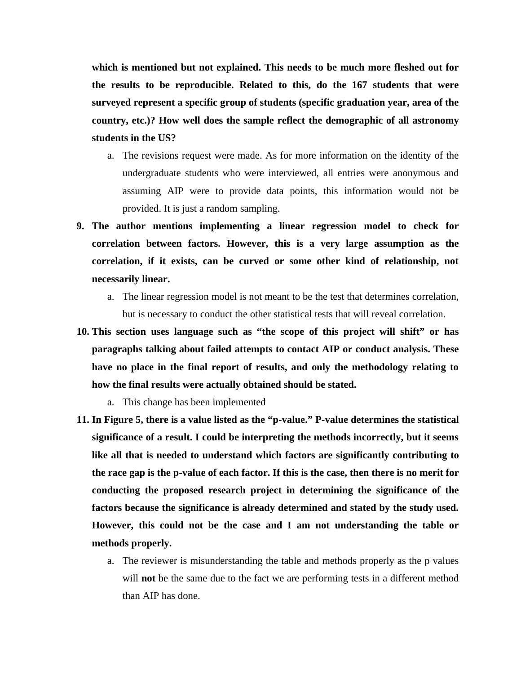**which is mentioned but not explained. This needs to be much more fleshed out for the results to be reproducible. Related to this, do the 167 students that were surveyed represent a specific group of students (specific graduation year, area of the country, etc.)? How well does the sample reflect the demographic of all astronomy students in the US?**

- a. The revisions request were made. As for more information on the identity of the undergraduate students who were interviewed, all entries were anonymous and assuming AIP were to provide data points, this information would not be provided. It is just a random sampling.
- **9. The author mentions implementing a linear regression model to check for correlation between factors. However, this is a very large assumption as the correlation, if it exists, can be curved or some other kind of relationship, not necessarily linear.**
	- a. The linear regression model is not meant to be the test that determines correlation, but is necessary to conduct the other statistical tests that will reveal correlation.
- **10. This section uses language such as "the scope of this project will shift" or has paragraphs talking about failed attempts to contact AIP or conduct analysis. These have no place in the final report of results, and only the methodology relating to how the final results were actually obtained should be stated.**
	- a. This change has been implemented
- **11. In Figure 5, there is a value listed as the "p-value." P-value determines the statistical significance of a result. I could be interpreting the methods incorrectly, but it seems like all that is needed to understand which factors are significantly contributing to the race gap is the p-value of each factor. If this is the case, then there is no merit for conducting the proposed research project in determining the significance of the factors because the significance is already determined and stated by the study used. However, this could not be the case and I am not understanding the table or methods properly.**
	- a. The reviewer is misunderstanding the table and methods properly as the p values will **not** be the same due to the fact we are performing tests in a different method than AIP has done.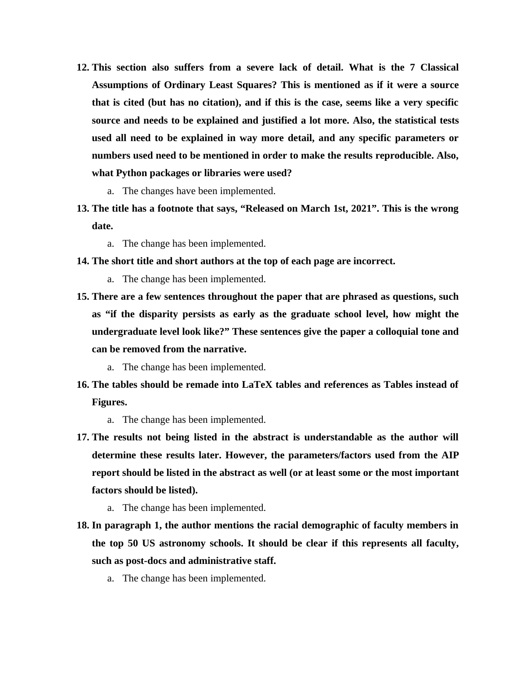- **12. This section also suffers from a severe lack of detail. What is the 7 Classical Assumptions of Ordinary Least Squares? This is mentioned as if it were a source that is cited (but has no citation), and if this is the case, seems like a very specific source and needs to be explained and justified a lot more. Also, the statistical tests used all need to be explained in way more detail, and any specific parameters or numbers used need to be mentioned in order to make the results reproducible. Also, what Python packages or libraries were used?**
	- a. The changes have been implemented.
- **13. The title has a footnote that says, "Released on March 1st, 2021". This is the wrong date.**
	- a. The change has been implemented.
- **14. The short title and short authors at the top of each page are incorrect.**
	- a. The change has been implemented.
- **15. There are a few sentences throughout the paper that are phrased as questions, such as "if the disparity persists as early as the graduate school level, how might the undergraduate level look like?" These sentences give the paper a colloquial tone and can be removed from the narrative.** 
	- a. The change has been implemented.
- **16. The tables should be remade into LaTeX tables and references as Tables instead of Figures.**
	- a. The change has been implemented.
- **17. The results not being listed in the abstract is understandable as the author will determine these results later. However, the parameters/factors used from the AIP report should be listed in the abstract as well (or at least some or the most important factors should be listed).** 
	- a. The change has been implemented.
- **18. In paragraph 1, the author mentions the racial demographic of faculty members in the top 50 US astronomy schools. It should be clear if this represents all faculty, such as post-docs and administrative staff.** 
	- a. The change has been implemented.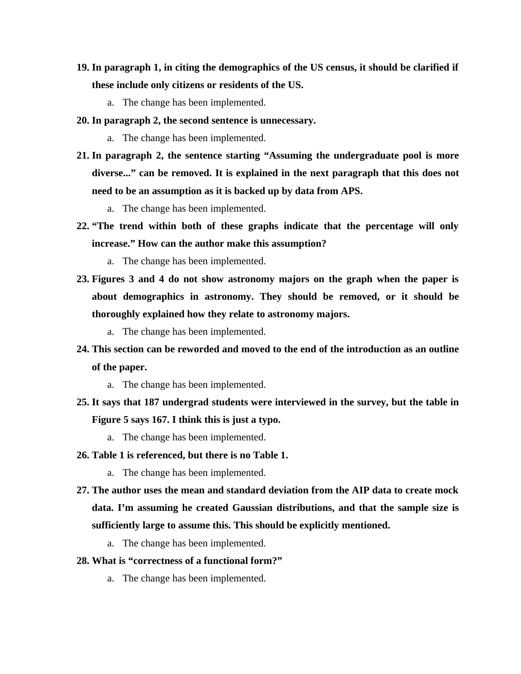- **19. In paragraph 1, in citing the demographics of the US census, it should be clarified if these include only citizens or residents of the US.** 
	- a. The change has been implemented.
- **20. In paragraph 2, the second sentence is unnecessary.**
	- a. The change has been implemented.
- **21. In paragraph 2, the sentence starting "Assuming the undergraduate pool is more diverse..." can be removed. It is explained in the next paragraph that this does not need to be an assumption as it is backed up by data from APS.**
	- a. The change has been implemented.
- **22. "The trend within both of these graphs indicate that the percentage will only increase." How can the author make this assumption?**
	- a. The change has been implemented.
- **23. Figures 3 and 4 do not show astronomy majors on the graph when the paper is about demographics in astronomy. They should be removed, or it should be thoroughly explained how they relate to astronomy majors.**
	- a. The change has been implemented.
- **24. This section can be reworded and moved to the end of the introduction as an outline of the paper.**
	- a. The change has been implemented.
- **25. It says that 187 undergrad students were interviewed in the survey, but the table in Figure 5 says 167. I think this is just a typo.**
	- a. The change has been implemented.
- **26. Table 1 is referenced, but there is no Table 1.**
	- a. The change has been implemented.
- **27. The author uses the mean and standard deviation from the AIP data to create mock data. I'm assuming he created Gaussian distributions, and that the sample size is sufficiently large to assume this. This should be explicitly mentioned.**
	- a. The change has been implemented.
- **28. What is "correctness of a functional form?"**
	- a. The change has been implemented.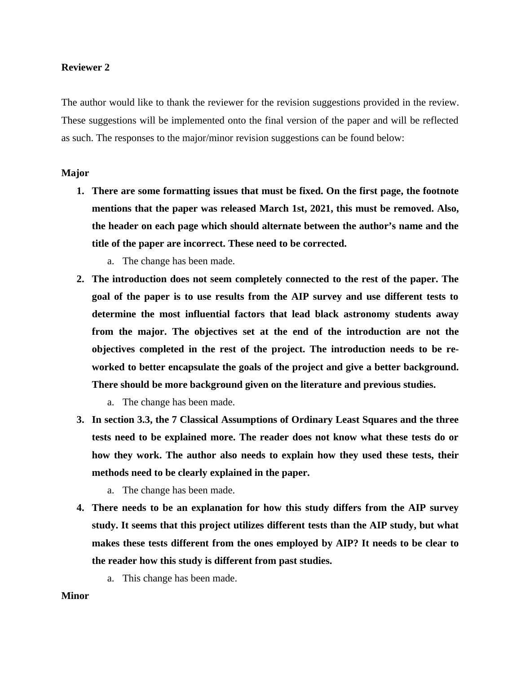The author would like to thank the reviewer for the revision suggestions provided in the review. These suggestions will be implemented onto the final version of the paper and will be reflected as such. The responses to the major/minor revision suggestions can be found below:

### **Major**

- **1. There are some formatting issues that must be fixed. On the first page, the footnote mentions that the paper was released March 1st, 2021, this must be removed. Also, the header on each page which should alternate between the author's name and the title of the paper are incorrect. These need to be corrected.**
	- a. The change has been made.
- **2. The introduction does not seem completely connected to the rest of the paper. The goal of the paper is to use results from the AIP survey and use different tests to determine the most influential factors that lead black astronomy students away from the major. The objectives set at the end of the introduction are not the objectives completed in the rest of the project. The introduction needs to be reworked to better encapsulate the goals of the project and give a better background. There should be more background given on the literature and previous studies.**
	- a. The change has been made.
- **3. In section 3.3, the 7 Classical Assumptions of Ordinary Least Squares and the three tests need to be explained more. The reader does not know what these tests do or how they work. The author also needs to explain how they used these tests, their methods need to be clearly explained in the paper.**
	- a. The change has been made.
- **4. There needs to be an explanation for how this study differs from the AIP survey study. It seems that this project utilizes different tests than the AIP study, but what makes these tests different from the ones employed by AIP? It needs to be clear to the reader how this study is different from past studies.** 
	- a. This change has been made.

### **Minor**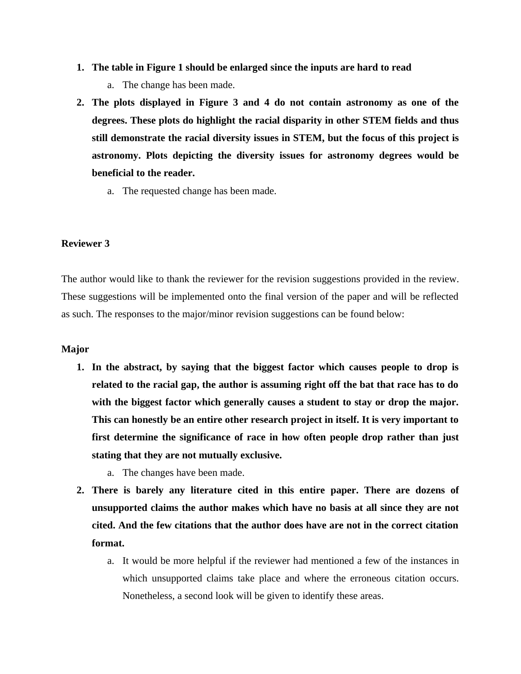- **1. The table in Figure 1 should be enlarged since the inputs are hard to read**
	- a. The change has been made.
- **2. The plots displayed in Figure 3 and 4 do not contain astronomy as one of the degrees. These plots do highlight the racial disparity in other STEM fields and thus still demonstrate the racial diversity issues in STEM, but the focus of this project is astronomy. Plots depicting the diversity issues for astronomy degrees would be beneficial to the reader.**
	- a. The requested change has been made.

The author would like to thank the reviewer for the revision suggestions provided in the review. These suggestions will be implemented onto the final version of the paper and will be reflected as such. The responses to the major/minor revision suggestions can be found below:

### **Major**

- **1. In the abstract, by saying that the biggest factor which causes people to drop is related to the racial gap, the author is assuming right off the bat that race has to do with the biggest factor which generally causes a student to stay or drop the major. This can honestly be an entire other research project in itself. It is very important to first determine the significance of race in how often people drop rather than just stating that they are not mutually exclusive.**
	- a. The changes have been made.
- **2. There is barely any literature cited in this entire paper. There are dozens of unsupported claims the author makes which have no basis at all since they are not cited. And the few citations that the author does have are not in the correct citation format.**
	- a. It would be more helpful if the reviewer had mentioned a few of the instances in which unsupported claims take place and where the erroneous citation occurs. Nonetheless, a second look will be given to identify these areas.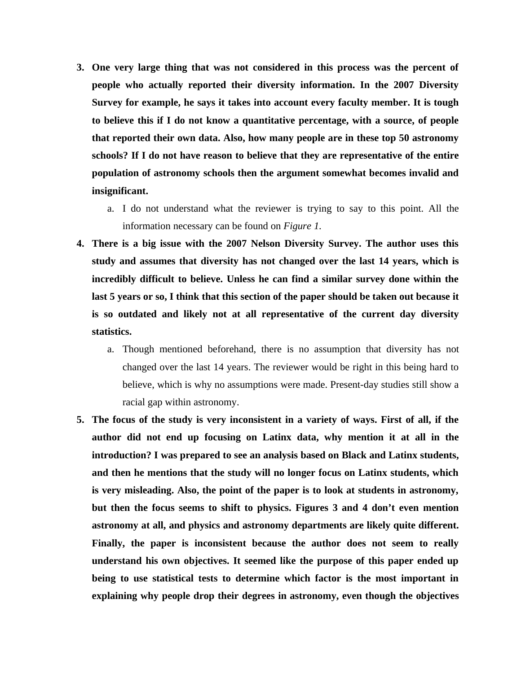- **3. One very large thing that was not considered in this process was the percent of people who actually reported their diversity information. In the 2007 Diversity Survey for example, he says it takes into account every faculty member. It is tough to believe this if I do not know a quantitative percentage, with a source, of people that reported their own data. Also, how many people are in these top 50 astronomy schools? If I do not have reason to believe that they are representative of the entire population of astronomy schools then the argument somewhat becomes invalid and insignificant.**
	- a. I do not understand what the reviewer is trying to say to this point. All the information necessary can be found on *Figure 1*.
- **4. There is a big issue with the 2007 Nelson Diversity Survey. The author uses this study and assumes that diversity has not changed over the last 14 years, which is incredibly difficult to believe. Unless he can find a similar survey done within the last 5 years or so, I think that this section of the paper should be taken out because it is so outdated and likely not at all representative of the current day diversity statistics.** 
	- a. Though mentioned beforehand, there is no assumption that diversity has not changed over the last 14 years. The reviewer would be right in this being hard to believe, which is why no assumptions were made. Present-day studies still show a racial gap within astronomy.
- **5. The focus of the study is very inconsistent in a variety of ways. First of all, if the author did not end up focusing on Latinx data, why mention it at all in the introduction? I was prepared to see an analysis based on Black and Latinx students, and then he mentions that the study will no longer focus on Latinx students, which is very misleading. Also, the point of the paper is to look at students in astronomy, but then the focus seems to shift to physics. Figures 3 and 4 don't even mention astronomy at all, and physics and astronomy departments are likely quite different. Finally, the paper is inconsistent because the author does not seem to really understand his own objectives. It seemed like the purpose of this paper ended up being to use statistical tests to determine which factor is the most important in explaining why people drop their degrees in astronomy, even though the objectives**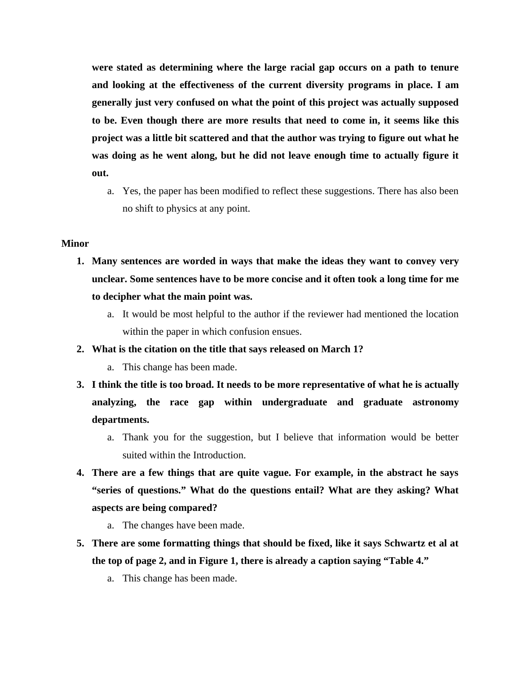**were stated as determining where the large racial gap occurs on a path to tenure and looking at the effectiveness of the current diversity programs in place. I am generally just very confused on what the point of this project was actually supposed to be. Even though there are more results that need to come in, it seems like this project was a little bit scattered and that the author was trying to figure out what he was doing as he went along, but he did not leave enough time to actually figure it out.**

a. Yes, the paper has been modified to reflect these suggestions. There has also been no shift to physics at any point.

### **Minor**

- **1. Many sentences are worded in ways that make the ideas they want to convey very unclear. Some sentences have to be more concise and it often took a long time for me to decipher what the main point was.**
	- a. It would be most helpful to the author if the reviewer had mentioned the location within the paper in which confusion ensues.
- **2. What is the citation on the title that says released on March 1?**
	- a. This change has been made.
- **3. I think the title is too broad. It needs to be more representative of what he is actually analyzing, the race gap within undergraduate and graduate astronomy departments.**
	- a. Thank you for the suggestion, but I believe that information would be better suited within the Introduction.
- **4. There are a few things that are quite vague. For example, in the abstract he says "series of questions." What do the questions entail? What are they asking? What aspects are being compared?**
	- a. The changes have been made.
- **5. There are some formatting things that should be fixed, like it says Schwartz et al at the top of page 2, and in Figure 1, there is already a caption saying "Table 4."** 
	- a. This change has been made.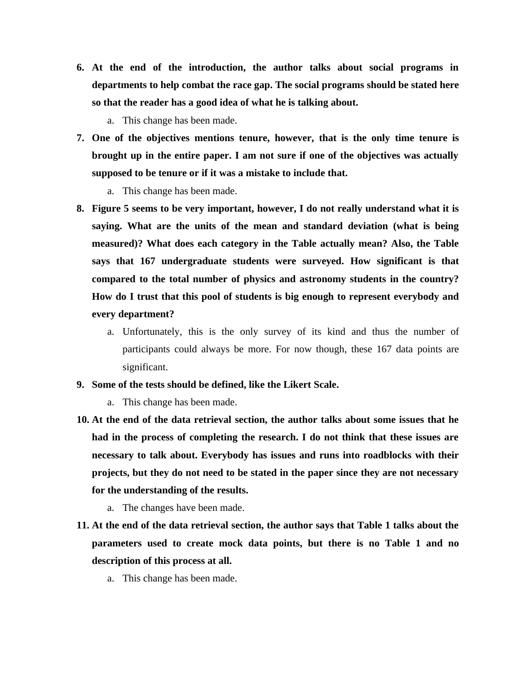- **6. At the end of the introduction, the author talks about social programs in departments to help combat the race gap. The social programs should be stated here so that the reader has a good idea of what he is talking about.** 
	- a. This change has been made.
- **7. One of the objectives mentions tenure, however, that is the only time tenure is brought up in the entire paper. I am not sure if one of the objectives was actually supposed to be tenure or if it was a mistake to include that.** 
	- a. This change has been made.
- **8. Figure 5 seems to be very important, however, I do not really understand what it is saying. What are the units of the mean and standard deviation (what is being measured)? What does each category in the Table actually mean? Also, the Table says that 167 undergraduate students were surveyed. How significant is that compared to the total number of physics and astronomy students in the country? How do I trust that this pool of students is big enough to represent everybody and every department?**
	- a. Unfortunately, this is the only survey of its kind and thus the number of participants could always be more. For now though, these 167 data points are significant.
- **9. Some of the tests should be defined, like the Likert Scale.**
	- a. This change has been made.
- **10. At the end of the data retrieval section, the author talks about some issues that he had in the process of completing the research. I do not think that these issues are necessary to talk about. Everybody has issues and runs into roadblocks with their projects, but they do not need to be stated in the paper since they are not necessary for the understanding of the results.** 
	- a. The changes have been made.
- **11. At the end of the data retrieval section, the author says that Table 1 talks about the parameters used to create mock data points, but there is no Table 1 and no description of this process at all.** 
	- a. This change has been made.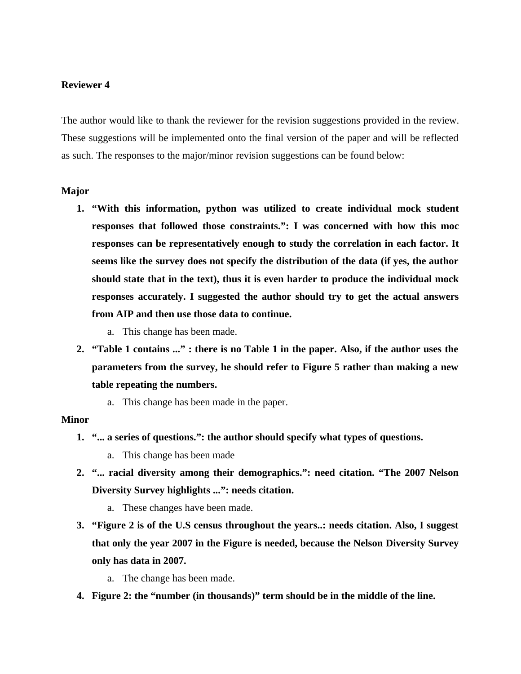The author would like to thank the reviewer for the revision suggestions provided in the review. These suggestions will be implemented onto the final version of the paper and will be reflected as such. The responses to the major/minor revision suggestions can be found below:

### **Major**

- **1. "With this information, python was utilized to create individual mock student responses that followed those constraints.": I was concerned with how this moc responses can be representatively enough to study the correlation in each factor. It seems like the survey does not specify the distribution of the data (if yes, the author should state that in the text), thus it is even harder to produce the individual mock responses accurately. I suggested the author should try to get the actual answers from AIP and then use those data to continue.**
	- a. This change has been made.
- **2. "Table 1 contains ..." : there is no Table 1 in the paper. Also, if the author uses the parameters from the survey, he should refer to Figure 5 rather than making a new table repeating the numbers.** 
	- a. This change has been made in the paper.

#### **Minor**

- **1. "... a series of questions.": the author should specify what types of questions.**
	- a. This change has been made
- **2. "... racial diversity among their demographics.": need citation. "The 2007 Nelson Diversity Survey highlights ...": needs citation.**
	- a. These changes have been made.
- **3. "Figure 2 is of the U.S census throughout the years..: needs citation. Also, I suggest that only the year 2007 in the Figure is needed, because the Nelson Diversity Survey only has data in 2007.** 
	- a. The change has been made.
- **4. Figure 2: the "number (in thousands)" term should be in the middle of the line.**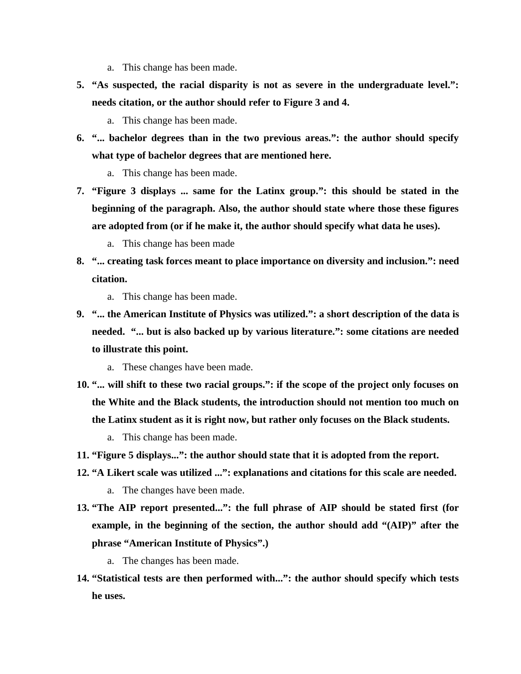- a. This change has been made.
- **5. "As suspected, the racial disparity is not as severe in the undergraduate level.": needs citation, or the author should refer to Figure 3 and 4.** 
	- a. This change has been made.
- **6. "... bachelor degrees than in the two previous areas.": the author should specify what type of bachelor degrees that are mentioned here.** 
	- a. This change has been made.
- **7. "Figure 3 displays ... same for the Latinx group.": this should be stated in the beginning of the paragraph. Also, the author should state where those these figures are adopted from (or if he make it, the author should specify what data he uses).** 
	- a. This change has been made
- **8. "... creating task forces meant to place importance on diversity and inclusion.": need citation.** 
	- a. This change has been made.
- **9. "... the American Institute of Physics was utilized.": a short description of the data is needed. "... but is also backed up by various literature.": some citations are needed to illustrate this point.** 
	- a. These changes have been made.
- **10. "... will shift to these two racial groups.": if the scope of the project only focuses on the White and the Black students, the introduction should not mention too much on the Latinx student as it is right now, but rather only focuses on the Black students.**
	- a. This change has been made.
- **11. "Figure 5 displays...": the author should state that it is adopted from the report.**
- **12. "A Likert scale was utilized ...": explanations and citations for this scale are needed.** a. The changes have been made.
- **13. "The AIP report presented...": the full phrase of AIP should be stated first (for example, in the beginning of the section, the author should add "(AIP)" after the phrase "American Institute of Physics".)**
	- a. The changes has been made.
- **14. "Statistical tests are then performed with...": the author should specify which tests he uses.**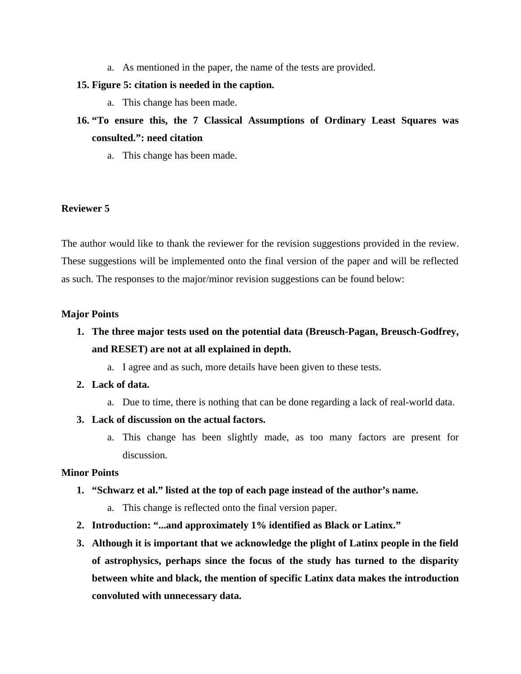a. As mentioned in the paper, the name of the tests are provided.

### **15. Figure 5: citation is needed in the caption.**

- a. This change has been made.
- **16. "To ensure this, the 7 Classical Assumptions of Ordinary Least Squares was consulted.": need citation** 
	- a. This change has been made.

### **Reviewer 5**

The author would like to thank the reviewer for the revision suggestions provided in the review. These suggestions will be implemented onto the final version of the paper and will be reflected as such. The responses to the major/minor revision suggestions can be found below:

### **Major Points**

- **1. The three major tests used on the potential data (Breusch-Pagan, Breusch-Godfrey, and RESET) are not at all explained in depth.** 
	- a. I agree and as such, more details have been given to these tests.
- **2. Lack of data.**
	- a. Due to time, there is nothing that can be done regarding a lack of real-world data.
- **3. Lack of discussion on the actual factors.**
	- a. This change has been slightly made, as too many factors are present for discussion.

# **Minor Points**

- **1. "Schwarz et al." listed at the top of each page instead of the author's name.**
	- a. This change is reflected onto the final version paper.
- **2. Introduction: "...and approximately 1% identified as Black or Latinx."**
- **3. Although it is important that we acknowledge the plight of Latinx people in the field of astrophysics, perhaps since the focus of the study has turned to the disparity between white and black, the mention of specific Latinx data makes the introduction convoluted with unnecessary data.**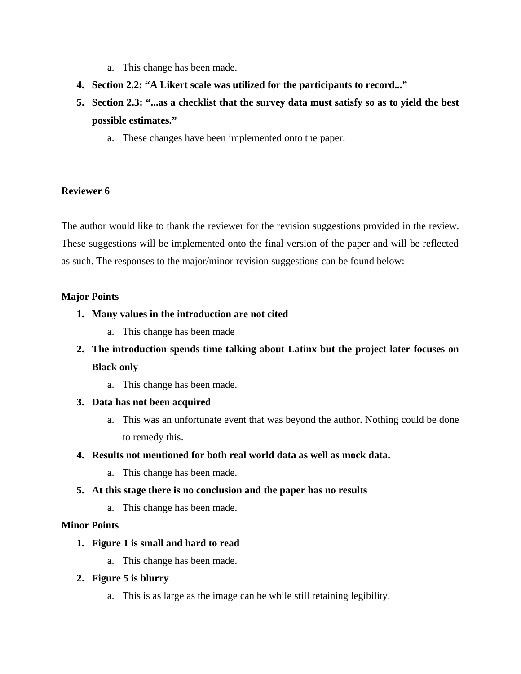- a. This change has been made.
- **4. Section 2.2: "A Likert scale was utilized for the participants to record..."**
- **5. Section 2.3: "...as a checklist that the survey data must satisfy so as to yield the best possible estimates."** 
	- a. These changes have been implemented onto the paper.

The author would like to thank the reviewer for the revision suggestions provided in the review. These suggestions will be implemented onto the final version of the paper and will be reflected as such. The responses to the major/minor revision suggestions can be found below:

# **Major Points**

- **1. Many values in the introduction are not cited**
	- a. This change has been made
- **2. The introduction spends time talking about Latinx but the project later focuses on Black only**
	- a. This change has been made.
- **3. Data has not been acquired**
	- a. This was an unfortunate event that was beyond the author. Nothing could be done to remedy this.

# **4. Results not mentioned for both real world data as well as mock data.**

- a. This change has been made.
- **5. At this stage there is no conclusion and the paper has no results**
	- a. This change has been made.

# **Minor Points**

# **1. Figure 1 is small and hard to read**

- a. This change has been made.
- **2. Figure 5 is blurry**
	- a. This is as large as the image can be while still retaining legibility.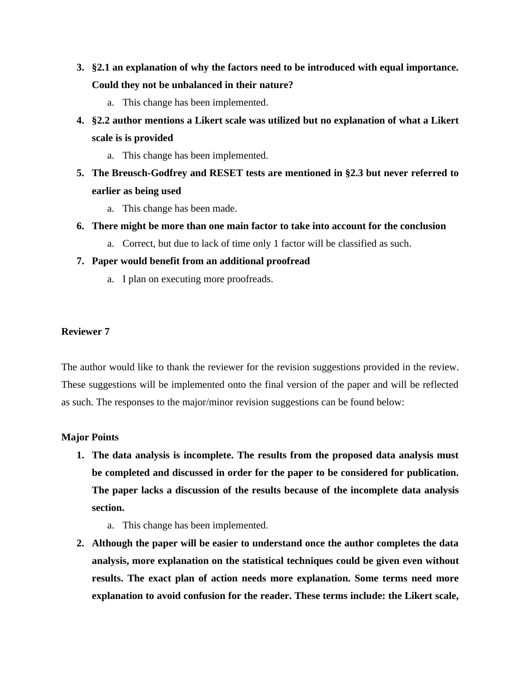- **3. §2.1 an explanation of why the factors need to be introduced with equal importance. Could they not be unbalanced in their nature?** 
	- a. This change has been implemented.
- **4. §2.2 author mentions a Likert scale was utilized but no explanation of what a Likert scale is is provided** 
	- a. This change has been implemented.
- **5. The Breusch-Godfrey and RESET tests are mentioned in §2.3 but never referred to earlier as being used**
	- a. This change has been made.
- **6. There might be more than one main factor to take into account for the conclusion**
	- a. Correct, but due to lack of time only 1 factor will be classified as such.
- **7. Paper would benefit from an additional proofread**
	- a. I plan on executing more proofreads.

The author would like to thank the reviewer for the revision suggestions provided in the review. These suggestions will be implemented onto the final version of the paper and will be reflected as such. The responses to the major/minor revision suggestions can be found below:

# **Major Points**

- **1. The data analysis is incomplete. The results from the proposed data analysis must be completed and discussed in order for the paper to be considered for publication. The paper lacks a discussion of the results because of the incomplete data analysis section.**
	- a. This change has been implemented.
- **2. Although the paper will be easier to understand once the author completes the data analysis, more explanation on the statistical techniques could be given even without results. The exact plan of action needs more explanation. Some terms need more explanation to avoid confusion for the reader. These terms include: the Likert scale,**